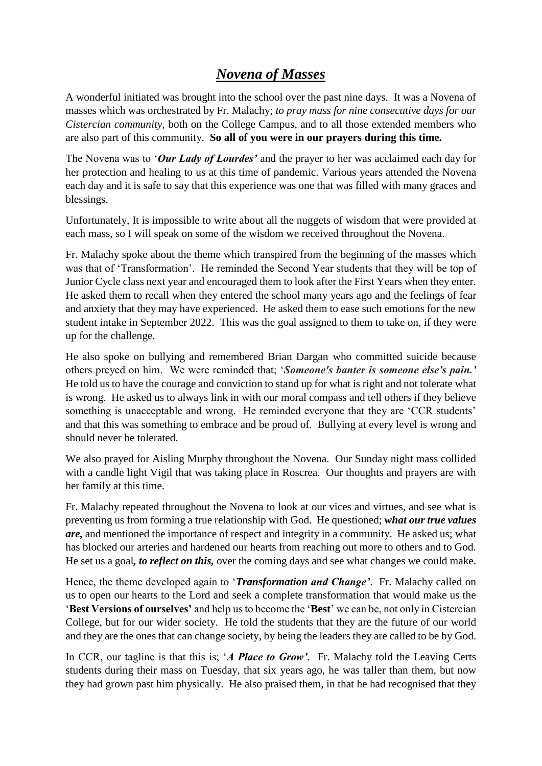# *Novena of Masses*

A wonderful initiated was brought into the school over the past nine days. It was a Novena of masses which was orchestrated by Fr. Malachy; *to pray mass for nine consecutive days for our Cistercian community,* both on the College Campus, and to all those extended members who are also part of this community. **So all of you were in our prayers during this time.**

The Novena was to '*Our Lady of Lourdes'* and the prayer to her was acclaimed each day for her protection and healing to us at this time of pandemic. Various years attended the Novena each day and it is safe to say that this experience was one that was filled with many graces and blessings.

Unfortunately, It is impossible to write about all the nuggets of wisdom that were provided at each mass, so I will speak on some of the wisdom we received throughout the Novena.

Fr. Malachy spoke about the theme which transpired from the beginning of the masses which was that of 'Transformation'. He reminded the Second Year students that they will be top of Junior Cycle class next year and encouraged them to look after the First Years when they enter. He asked them to recall when they entered the school many years ago and the feelings of fear and anxiety that they may have experienced. He asked them to ease such emotions for the new student intake in September 2022. This was the goal assigned to them to take on, if they were up for the challenge.

He also spoke on bullying and remembered Brian Dargan who committed suicide because others preyed on him. We were reminded that; '*Someone's banter is someone else's pain.'* He told us to have the courage and conviction to stand up for what is right and not tolerate what is wrong. He asked us to always link in with our moral compass and tell others if they believe something is unacceptable and wrong. He reminded everyone that they are 'CCR students' and that this was something to embrace and be proud of. Bullying at every level is wrong and should never be tolerated.

We also prayed for Aisling Murphy throughout the Novena. Our Sunday night mass collided with a candle light Vigil that was taking place in Roscrea. Our thoughts and prayers are with her family at this time.

Fr. Malachy repeated throughout the Novena to look at our vices and virtues, and see what is preventing us from forming a true relationship with God. He questioned; *what our true values are,* and mentioned the importance of respect and integrity in a community. He asked us; what has blocked our arteries and hardened our hearts from reaching out more to others and to God. He set us a goal*, to reflect on this,* over the coming days and see what changes we could make.

Hence, the theme developed again to '*Transformation and Change'*. Fr. Malachy called on us to open our hearts to the Lord and seek a complete transformation that would make us the '**Best Versions of ourselves'** and help us to become the '**Best**' we can be, not only in Cistercian College, but for our wider society. He told the students that they are the future of our world and they are the ones that can change society, by being the leaders they are called to be by God.

In CCR, our tagline is that this is; '*A Place to Grow'*. Fr. Malachy told the Leaving Certs students during their mass on Tuesday, that six years ago, he was taller than them, but now they had grown past him physically. He also praised them, in that he had recognised that they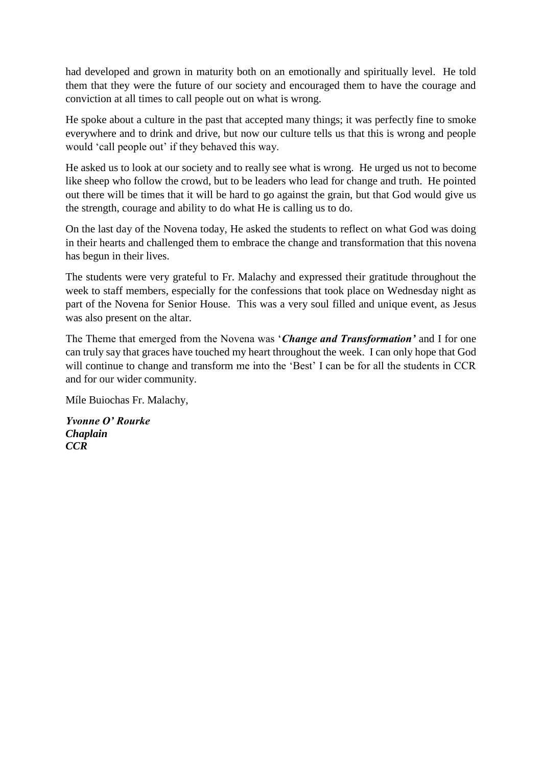had developed and grown in maturity both on an emotionally and spiritually level. He told them that they were the future of our society and encouraged them to have the courage and conviction at all times to call people out on what is wrong.

He spoke about a culture in the past that accepted many things; it was perfectly fine to smoke everywhere and to drink and drive, but now our culture tells us that this is wrong and people would 'call people out' if they behaved this way.

He asked us to look at our society and to really see what is wrong. He urged us not to become like sheep who follow the crowd, but to be leaders who lead for change and truth. He pointed out there will be times that it will be hard to go against the grain, but that God would give us the strength, courage and ability to do what He is calling us to do.

On the last day of the Novena today, He asked the students to reflect on what God was doing in their hearts and challenged them to embrace the change and transformation that this novena has begun in their lives.

The students were very grateful to Fr. Malachy and expressed their gratitude throughout the week to staff members, especially for the confessions that took place on Wednesday night as part of the Novena for Senior House. This was a very soul filled and unique event, as Jesus was also present on the altar.

The Theme that emerged from the Novena was '*Change and Transformation'* and I for one can truly say that graces have touched my heart throughout the week. I can only hope that God will continue to change and transform me into the 'Best' I can be for all the students in CCR and for our wider community.

Míle Buiochas Fr. Malachy,

*Yvonne O' Rourke Chaplain CCR*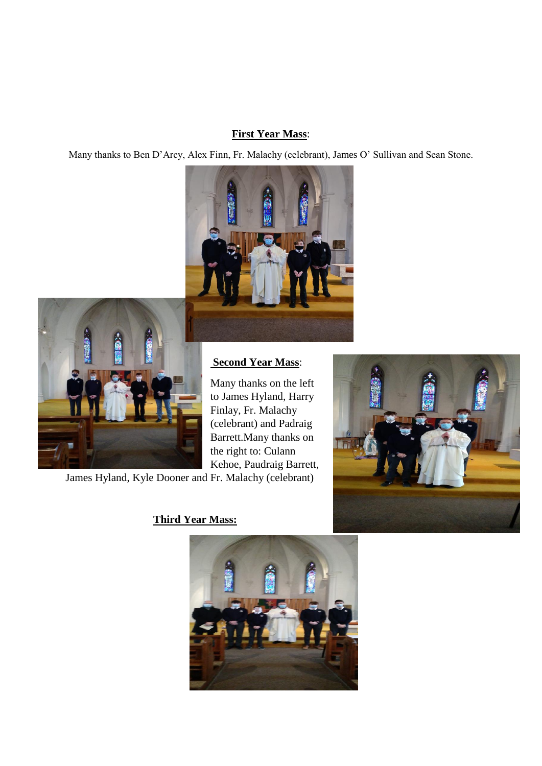#### **First Year Mass**:

Many thanks to Ben D'Arcy, Alex Finn, Fr. Malachy (celebrant), James O' Sullivan and Sean Stone.





### **Second Year Mass**:

Many thanks on the left to James Hyland, Harry Finlay, Fr. Malachy (celebrant) and Padraig Barrett.Many thanks on the right to: Culann Kehoe, Paudraig Barrett,

James Hyland, Kyle Dooner and Fr. Malachy (celebrant)



## **Third Year Mass:**

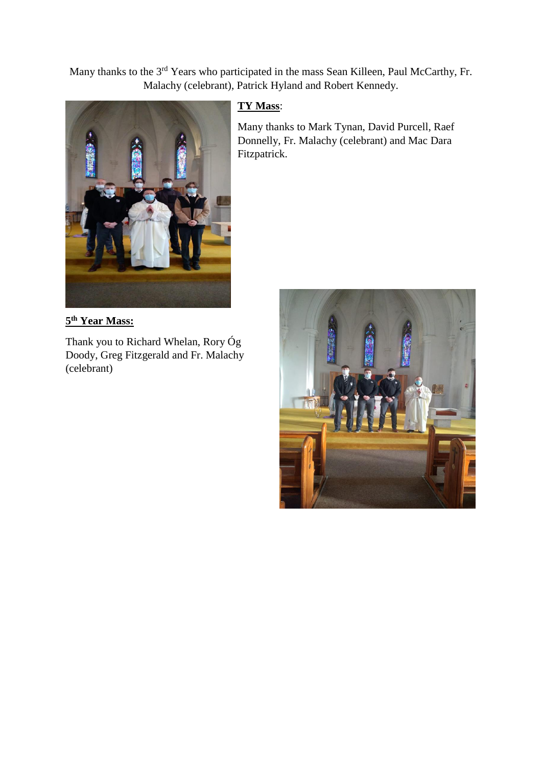Many thanks to the 3rd Years who participated in the mass Sean Killeen, Paul McCarthy, Fr. Malachy (celebrant), Patrick Hyland and Robert Kennedy.



#### **5 th Year Mass:**

Thank you to Richard Whelan, Rory Óg Doody, Greg Fitzgerald and Fr. Malachy (celebrant)

### **TY Mass**:

Many thanks to Mark Tynan, David Purcell, Raef Donnelly, Fr. Malachy (celebrant) and Mac Dara Fitzpatrick.